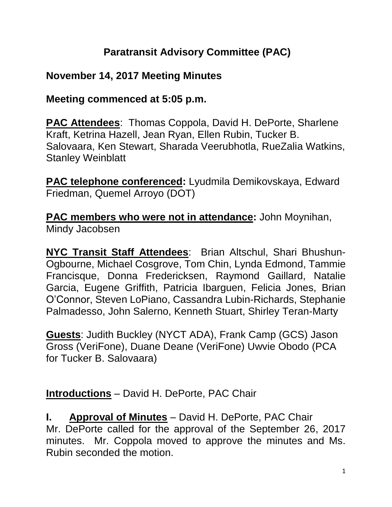## **Paratransit Advisory Committee (PAC)**

## **November 14, 2017 Meeting Minutes**

### **Meeting commenced at 5:05 p.m.**

**PAC Attendees**: Thomas Coppola, David H. DePorte, Sharlene Kraft, Ketrina Hazell, Jean Ryan, Ellen Rubin, Tucker B. Salovaara, Ken Stewart, Sharada Veerubhotla, RueZalia Watkins, Stanley Weinblatt

**PAC telephone conferenced:** Lyudmila Demikovskaya, Edward Friedman, Quemel Arroyo (DOT)

**PAC members who were not in attendance:** John Moynihan, Mindy Jacobsen

**NYC Transit Staff Attendees**: Brian Altschul, Shari Bhushun-Ogbourne, Michael Cosgrove, Tom Chin, Lynda Edmond, Tammie Francisque, Donna Fredericksen, Raymond Gaillard, Natalie Garcia, Eugene Griffith, Patricia Ibarguen, Felicia Jones, Brian O'Connor, Steven LoPiano, Cassandra Lubin-Richards, Stephanie Palmadesso, John Salerno, Kenneth Stuart, Shirley Teran-Marty

**Guests**: Judith Buckley (NYCT ADA), Frank Camp (GCS) Jason Gross (VeriFone), Duane Deane (VeriFone) Uwvie Obodo (PCA for Tucker B. Salovaara)

**Introductions** – David H. DePorte, PAC Chair

**I. Approval of Minutes** – David H. DePorte, PAC Chair Mr. DePorte called for the approval of the September 26, 2017 minutes. Mr. Coppola moved to approve the minutes and Ms. Rubin seconded the motion.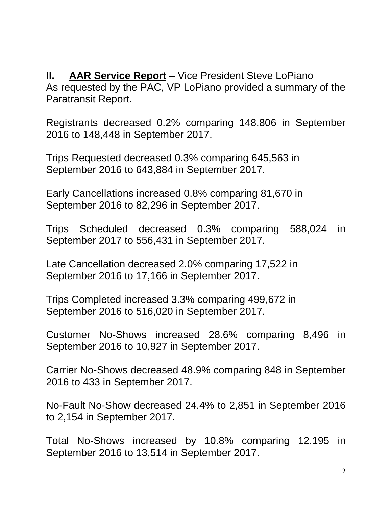**II. AAR Service Report** – Vice President Steve LoPiano As requested by the PAC, VP LoPiano provided a summary of the Paratransit Report.

Registrants decreased 0.2% comparing 148,806 in September 2016 to 148,448 in September 2017.

Trips Requested decreased 0.3% comparing 645,563 in September 2016 to 643,884 in September 2017.

Early Cancellations increased 0.8% comparing 81,670 in September 2016 to 82,296 in September 2017.

Trips Scheduled decreased 0.3% comparing 588,024 in September 2017 to 556,431 in September 2017.

Late Cancellation decreased 2.0% comparing 17,522 in September 2016 to 17,166 in September 2017.

Trips Completed increased 3.3% comparing 499,672 in September 2016 to 516,020 in September 2017.

Customer No-Shows increased 28.6% comparing 8,496 in September 2016 to 10,927 in September 2017.

Carrier No-Shows decreased 48.9% comparing 848 in September 2016 to 433 in September 2017.

No-Fault No-Show decreased 24.4% to 2,851 in September 2016 to 2,154 in September 2017.

Total No-Shows increased by 10.8% comparing 12,195 in September 2016 to 13,514 in September 2017.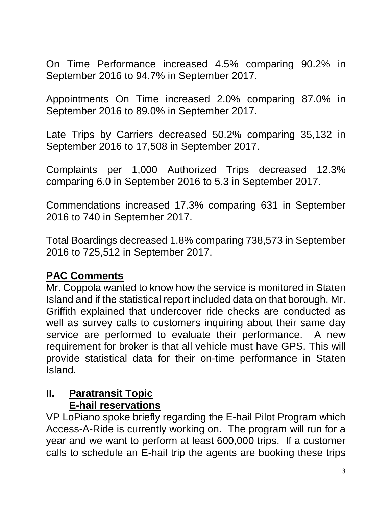On Time Performance increased 4.5% comparing 90.2% in September 2016 to 94.7% in September 2017.

Appointments On Time increased 2.0% comparing 87.0% in September 2016 to 89.0% in September 2017.

Late Trips by Carriers decreased 50.2% comparing 35,132 in September 2016 to 17,508 in September 2017.

Complaints per 1,000 Authorized Trips decreased 12.3% comparing 6.0 in September 2016 to 5.3 in September 2017.

Commendations increased 17.3% comparing 631 in September 2016 to 740 in September 2017.

Total Boardings decreased 1.8% comparing 738,573 in September 2016 to 725,512 in September 2017.

#### **PAC Comments**

Mr. Coppola wanted to know how the service is monitored in Staten Island and if the statistical report included data on that borough. Mr. Griffith explained that undercover ride checks are conducted as well as survey calls to customers inquiring about their same day service are performed to evaluate their performance. A new requirement for broker is that all vehicle must have GPS. This will provide statistical data for their on-time performance in Staten Island.

#### **II. Paratransit Topic E-hail reservations**

VP LoPiano spoke briefly regarding the E-hail Pilot Program which Access-A-Ride is currently working on. The program will run for a year and we want to perform at least 600,000 trips. If a customer calls to schedule an E-hail trip the agents are booking these trips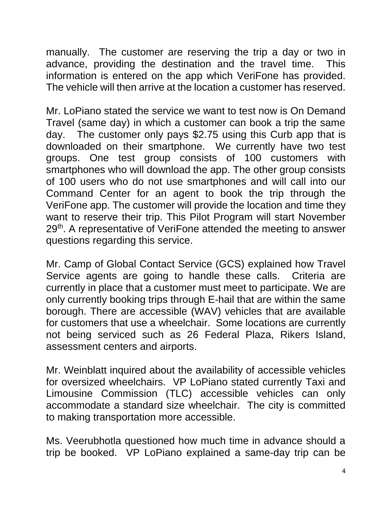manually. The customer are reserving the trip a day or two in advance, providing the destination and the travel time. This information is entered on the app which VeriFone has provided. The vehicle will then arrive at the location a customer has reserved.

Mr. LoPiano stated the service we want to test now is On Demand Travel (same day) in which a customer can book a trip the same day. The customer only pays \$2.75 using this Curb app that is downloaded on their smartphone. We currently have two test groups. One test group consists of 100 customers with smartphones who will download the app. The other group consists of 100 users who do not use smartphones and will call into our Command Center for an agent to book the trip through the VeriFone app. The customer will provide the location and time they want to reserve their trip. This Pilot Program will start November 29<sup>th</sup>. A representative of VeriFone attended the meeting to answer questions regarding this service.

Mr. Camp of Global Contact Service (GCS) explained how Travel Service agents are going to handle these calls. Criteria are currently in place that a customer must meet to participate. We are only currently booking trips through E-hail that are within the same borough. There are accessible (WAV) vehicles that are available for customers that use a wheelchair. Some locations are currently not being serviced such as 26 Federal Plaza, Rikers Island, assessment centers and airports.

Mr. Weinblatt inquired about the availability of accessible vehicles for oversized wheelchairs. VP LoPiano stated currently Taxi and Limousine Commission (TLC) accessible vehicles can only accommodate a standard size wheelchair. The city is committed to making transportation more accessible.

Ms. Veerubhotla questioned how much time in advance should a trip be booked. VP LoPiano explained a same-day trip can be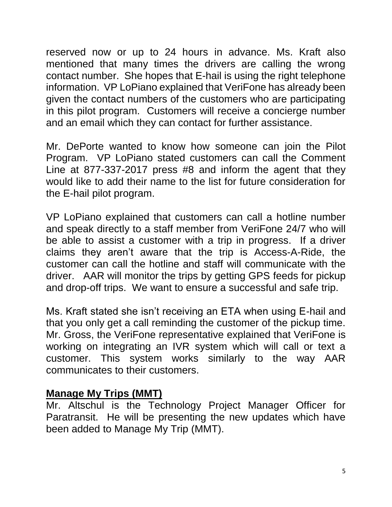reserved now or up to 24 hours in advance. Ms. Kraft also mentioned that many times the drivers are calling the wrong contact number. She hopes that E-hail is using the right telephone information. VP LoPiano explained that VeriFone has already been given the contact numbers of the customers who are participating in this pilot program. Customers will receive a concierge number and an email which they can contact for further assistance.

Mr. DePorte wanted to know how someone can join the Pilot Program. VP LoPiano stated customers can call the Comment Line at 877-337-2017 press #8 and inform the agent that they would like to add their name to the list for future consideration for the E-hail pilot program.

VP LoPiano explained that customers can call a hotline number and speak directly to a staff member from VeriFone 24/7 who will be able to assist a customer with a trip in progress. If a driver claims they aren't aware that the trip is Access-A-Ride, the customer can call the hotline and staff will communicate with the driver. AAR will monitor the trips by getting GPS feeds for pickup and drop-off trips. We want to ensure a successful and safe trip.

Ms. Kraft stated she isn't receiving an ETA when using E-hail and that you only get a call reminding the customer of the pickup time. Mr. Gross, the VeriFone representative explained that VeriFone is working on integrating an IVR system which will call or text a customer. This system works similarly to the way AAR communicates to their customers.

#### **Manage My Trips (MMT)**

Mr. Altschul is the Technology Project Manager Officer for Paratransit. He will be presenting the new updates which have been added to Manage My Trip (MMT).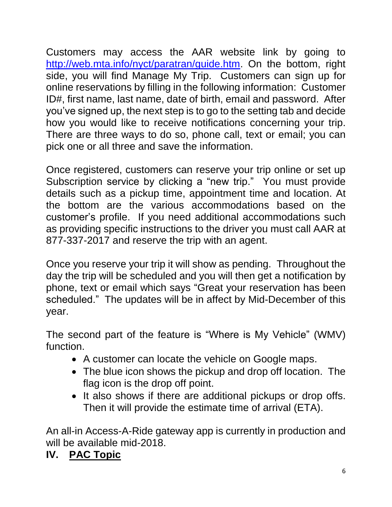Customers may access the AAR website link by going to [http://web.mta.info/nyct/paratran/guide.htm.](http://web.mta.info/nyct/paratran/guide.htm) On the bottom, right side, you will find Manage My Trip. Customers can sign up for online reservations by filling in the following information: Customer ID#, first name, last name, date of birth, email and password. After you've signed up, the next step is to go to the setting tab and decide how you would like to receive notifications concerning your trip. There are three ways to do so, phone call, text or email; you can pick one or all three and save the information.

Once registered, customers can reserve your trip online or set up Subscription service by clicking a "new trip." You must provide details such as a pickup time, appointment time and location. At the bottom are the various accommodations based on the customer's profile. If you need additional accommodations such as providing specific instructions to the driver you must call AAR at 877-337-2017 and reserve the trip with an agent.

Once you reserve your trip it will show as pending. Throughout the day the trip will be scheduled and you will then get a notification by phone, text or email which says "Great your reservation has been scheduled." The updates will be in affect by Mid-December of this year.

The second part of the feature is "Where is My Vehicle" (WMV) function.

- A customer can locate the vehicle on Google maps.
- The blue icon shows the pickup and drop off location. The flag icon is the drop off point.
- It also shows if there are additional pickups or drop offs. Then it will provide the estimate time of arrival (ETA).

An all-in Access-A-Ride gateway app is currently in production and will be available mid-2018.

# **IV. PAC Topic**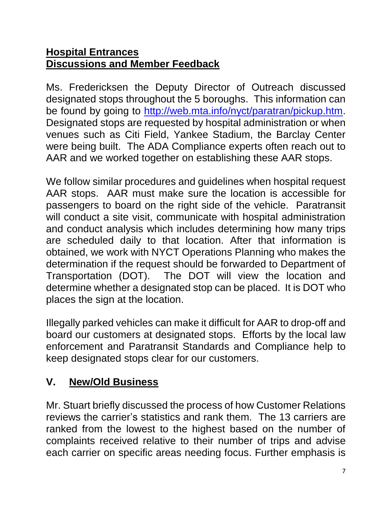#### **Hospital Entrances Discussions and Member Feedback**

Ms. Fredericksen the Deputy Director of Outreach discussed designated stops throughout the 5 boroughs. This information can be found by going to [http://web.mta.info/nyct/paratran/pickup.htm.](http://web.mta.info/nyct/paratran/pickup.htm) Designated stops are requested by hospital administration or when venues such as Citi Field, Yankee Stadium, the Barclay Center were being built. The ADA Compliance experts often reach out to AAR and we worked together on establishing these AAR stops.

We follow similar procedures and guidelines when hospital request AAR stops. AAR must make sure the location is accessible for passengers to board on the right side of the vehicle. Paratransit will conduct a site visit, communicate with hospital administration and conduct analysis which includes determining how many trips are scheduled daily to that location. After that information is obtained, we work with NYCT Operations Planning who makes the determination if the request should be forwarded to Department of Transportation (DOT). The DOT will view the location and determine whether a designated stop can be placed. It is DOT who places the sign at the location.

Illegally parked vehicles can make it difficult for AAR to drop-off and board our customers at designated stops. Efforts by the local law enforcement and Paratransit Standards and Compliance help to keep designated stops clear for our customers.

# **V. New/Old Business**

Mr. Stuart briefly discussed the process of how Customer Relations reviews the carrier's statistics and rank them. The 13 carriers are ranked from the lowest to the highest based on the number of complaints received relative to their number of trips and advise each carrier on specific areas needing focus. Further emphasis is